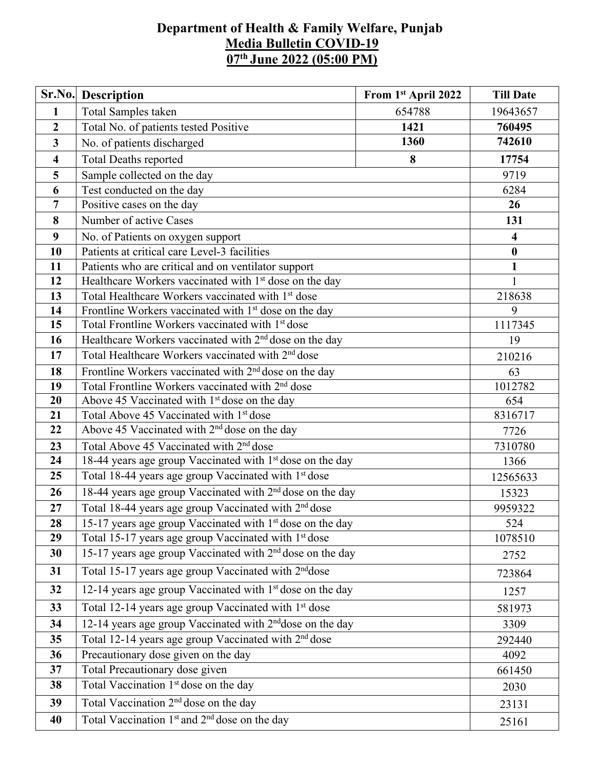## **Department of Health & Family Welfare, Punjab Media Bulletin COVID-19 07 th June 2022 (05:00 PM)**

| Sr.No.                  | Description                                                           | From 1st April 2022 | <b>Till Date</b>        |  |  |  |
|-------------------------|-----------------------------------------------------------------------|---------------------|-------------------------|--|--|--|
| $\mathbf{1}$            | Total Samples taken                                                   | 654788              | 19643657                |  |  |  |
| $\boldsymbol{2}$        | Total No. of patients tested Positive                                 | 760495              |                         |  |  |  |
| 3                       | No. of patients discharged                                            | 742610              |                         |  |  |  |
| $\overline{\mathbf{4}}$ | <b>Total Deaths reported</b>                                          | 17754               |                         |  |  |  |
| 5                       | Sample collected on the day                                           |                     | 9719                    |  |  |  |
| 6                       | Test conducted on the day                                             |                     | 6284                    |  |  |  |
| $\overline{7}$          | Positive cases on the day                                             |                     | 26                      |  |  |  |
| 8                       | Number of active Cases                                                |                     | 131                     |  |  |  |
| 9                       | No. of Patients on oxygen support                                     |                     | $\overline{\mathbf{4}}$ |  |  |  |
| 10                      | Patients at critical care Level-3 facilities                          |                     | $\bf{0}$                |  |  |  |
| 11                      | Patients who are critical and on ventilator support                   |                     | $\mathbf{1}$            |  |  |  |
| 12                      | Healthcare Workers vaccinated with 1 <sup>st</sup> dose on the day    |                     | $\mathbf{1}$            |  |  |  |
| 13                      | Total Healthcare Workers vaccinated with 1 <sup>st</sup> dose         |                     | 218638                  |  |  |  |
| 14                      | Frontline Workers vaccinated with 1 <sup>st</sup> dose on the day     |                     |                         |  |  |  |
| 15                      | Total Frontline Workers vaccinated with 1 <sup>st</sup> dose          |                     | 1117345                 |  |  |  |
| 16                      | Healthcare Workers vaccinated with 2 <sup>nd</sup> dose on the day    |                     |                         |  |  |  |
| 17                      | Total Healthcare Workers vaccinated with 2 <sup>nd</sup> dose         |                     |                         |  |  |  |
| 18                      | Frontline Workers vaccinated with 2 <sup>nd</sup> dose on the day     |                     |                         |  |  |  |
| 19                      | Total Frontline Workers vaccinated with 2 <sup>nd</sup> dose          |                     |                         |  |  |  |
| 20                      | Above 45 Vaccinated with 1 <sup>st</sup> dose on the day              |                     | 654                     |  |  |  |
| 21                      | Total Above 45 Vaccinated with 1st dose                               |                     |                         |  |  |  |
| 22                      | Above 45 Vaccinated with 2 <sup>nd</sup> dose on the day              |                     |                         |  |  |  |
| 23                      | Total Above 45 Vaccinated with 2 <sup>nd</sup> dose                   |                     |                         |  |  |  |
| 24                      | 18-44 years age group Vaccinated with 1 <sup>st</sup> dose on the day |                     | 1366                    |  |  |  |
| 25                      | Total 18-44 years age group Vaccinated with 1 <sup>st</sup> dose      |                     | 12565633                |  |  |  |
| 26                      | 18-44 years age group Vaccinated with 2 <sup>nd</sup> dose on the day | 15323               |                         |  |  |  |
| 27                      | Total 18-44 years age group Vaccinated with 2 <sup>nd</sup> dose      |                     | 9959322                 |  |  |  |
| 28                      | 15-17 years age group Vaccinated with $1st$ dose on the day           |                     | 524                     |  |  |  |
| 29                      | Total 15-17 years age group Vaccinated with 1 <sup>st</sup> dose      | 1078510             |                         |  |  |  |
| 30                      | 15-17 years age group Vaccinated with 2 <sup>nd</sup> dose on the day |                     |                         |  |  |  |
| 31                      | Total 15-17 years age group Vaccinated with 2 <sup>nd</sup> dose      |                     | 723864                  |  |  |  |
| 32                      | 12-14 years age group Vaccinated with 1 <sup>st</sup> dose on the day |                     | 1257                    |  |  |  |
| 33                      | Total 12-14 years age group Vaccinated with 1 <sup>st</sup> dose      | 581973              |                         |  |  |  |
| 34                      | 12-14 years age group Vaccinated with 2 <sup>nd</sup> dose on the day | 3309                |                         |  |  |  |
| 35                      | Total 12-14 years age group Vaccinated with 2 <sup>nd</sup> dose      |                     |                         |  |  |  |
| 36                      | Precautionary dose given on the day                                   |                     |                         |  |  |  |
| 37                      | Total Precautionary dose given                                        | 661450              |                         |  |  |  |
| 38                      | Total Vaccination 1 <sup>st</sup> dose on the day                     | 2030                |                         |  |  |  |
| 39                      | Total Vaccination 2 <sup>nd</sup> dose on the day                     |                     |                         |  |  |  |
| 40                      | Total Vaccination 1 <sup>st</sup> and 2 <sup>nd</sup> dose on the day |                     | 25161                   |  |  |  |
|                         |                                                                       |                     |                         |  |  |  |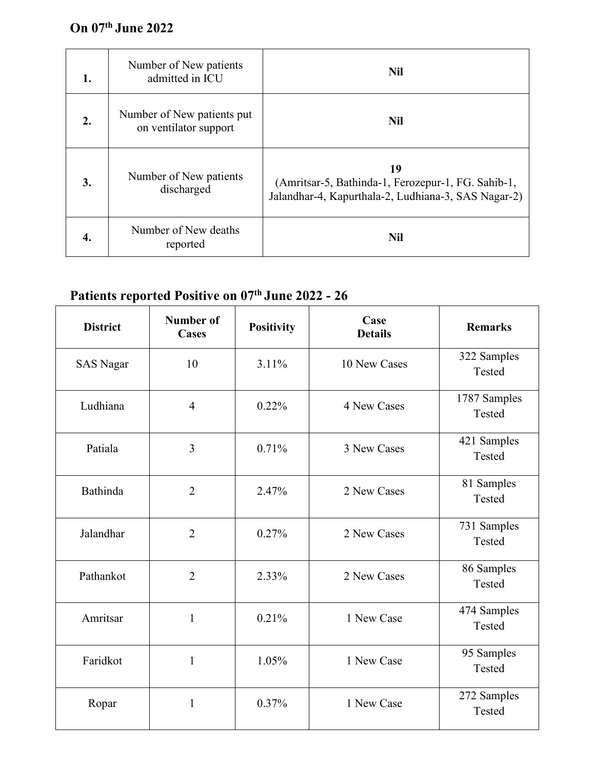## **On 07 th June 2022**

| 1. | Number of New patients<br>admitted in ICU           | <b>Nil</b>                                                                                                      |
|----|-----------------------------------------------------|-----------------------------------------------------------------------------------------------------------------|
| 2. | Number of New patients put<br>on ventilator support | <b>Nil</b>                                                                                                      |
| 3. | Number of New patients<br>discharged                | 19<br>(Amritsar-5, Bathinda-1, Ferozepur-1, FG. Sahib-1,<br>Jalandhar-4, Kapurthala-2, Ludhiana-3, SAS Nagar-2) |
| 4. | Number of New deaths<br>reported                    | <b>Nil</b>                                                                                                      |

## **Patients reported Positive on 07 th June 2022 - 26**

| <b>District</b>  | <b>Number of</b><br><b>Cases</b> | <b>Positivity</b> | Case<br><b>Details</b> | <b>Remarks</b>         |
|------------------|----------------------------------|-------------------|------------------------|------------------------|
| <b>SAS Nagar</b> | 10                               | 3.11%             | 10 New Cases           | 322 Samples<br>Tested  |
| Ludhiana         | $\overline{4}$                   | 0.22%             | 4 New Cases            | 1787 Samples<br>Tested |
| Patiala          | $\overline{3}$                   | 0.71%             | 3 New Cases            | 421 Samples<br>Tested  |
| Bathinda         | $\overline{2}$                   | 2.47%             | 2 New Cases            | 81 Samples<br>Tested   |
| Jalandhar        | $\overline{2}$                   | 0.27%             | 2 New Cases            | 731 Samples<br>Tested  |
| Pathankot        | $\overline{2}$                   | 2.33%             | 2 New Cases            | 86 Samples<br>Tested   |
| Amritsar         | $\mathbf{1}$                     | 0.21%             | 1 New Case             | 474 Samples<br>Tested  |
| Faridkot         | $\mathbf{1}$                     | 1.05%             | 1 New Case             | 95 Samples<br>Tested   |
| Ropar            | $\mathbf{1}$                     | 0.37%             | 1 New Case             | 272 Samples<br>Tested  |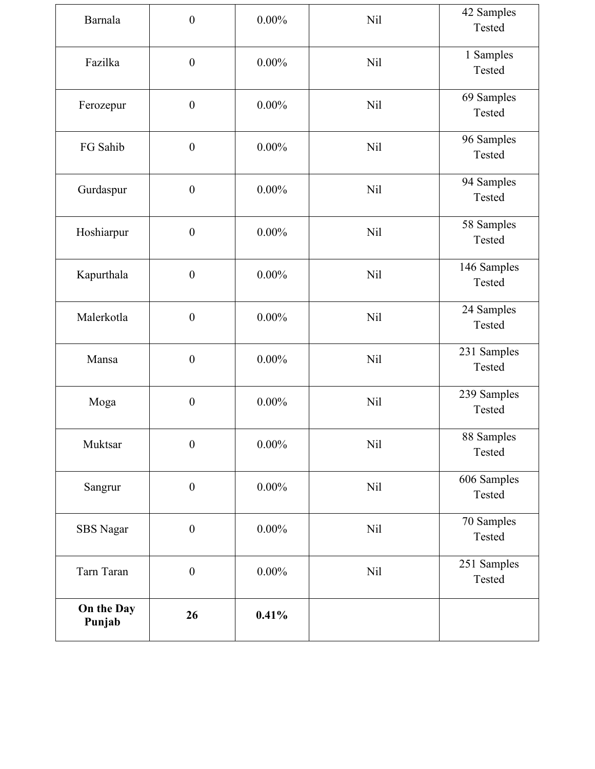| Barnala              | $\boldsymbol{0}$ | $0.00\%$ | <b>Nil</b> | 42 Samples<br>Tested  |
|----------------------|------------------|----------|------------|-----------------------|
| Fazilka              | $\boldsymbol{0}$ | $0.00\%$ | <b>Nil</b> | 1 Samples<br>Tested   |
| Ferozepur            | $\boldsymbol{0}$ | $0.00\%$ | <b>Nil</b> | 69 Samples<br>Tested  |
| FG Sahib             | $\boldsymbol{0}$ | $0.00\%$ | <b>Nil</b> | 96 Samples<br>Tested  |
| Gurdaspur            | $\boldsymbol{0}$ | $0.00\%$ | <b>Nil</b> | 94 Samples<br>Tested  |
| Hoshiarpur           | $\boldsymbol{0}$ | $0.00\%$ | <b>Nil</b> | 58 Samples<br>Tested  |
| Kapurthala           | $\boldsymbol{0}$ | $0.00\%$ | <b>Nil</b> | 146 Samples<br>Tested |
| Malerkotla           | $\boldsymbol{0}$ | $0.00\%$ | Nil        | 24 Samples<br>Tested  |
| Mansa                | $\boldsymbol{0}$ | $0.00\%$ | <b>Nil</b> | 231 Samples<br>Tested |
| Moga                 | $\boldsymbol{0}$ | $0.00\%$ | <b>Nil</b> | 239 Samples<br>Tested |
| Muktsar              | $\boldsymbol{0}$ | $0.00\%$ | <b>Nil</b> | 88 Samples<br>Tested  |
| Sangrur              | $\boldsymbol{0}$ | $0.00\%$ | <b>Nil</b> | 606 Samples<br>Tested |
| SBS Nagar            | $\boldsymbol{0}$ | $0.00\%$ | Nil        | 70 Samples<br>Tested  |
| Tarn Taran           | $\boldsymbol{0}$ | $0.00\%$ | <b>Nil</b> | 251 Samples<br>Tested |
| On the Day<br>Punjab | 26               | 0.41%    |            |                       |
|                      |                  |          |            |                       |